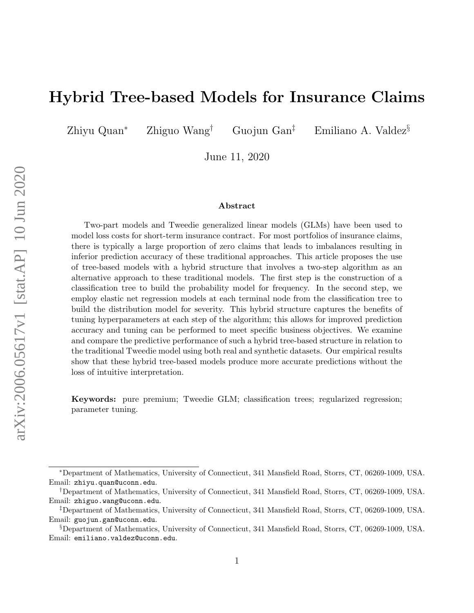# Hybrid Tree-based Models for Insurance Claims

Zhiyu Quan<sup>∗</sup> Zhiguo Wang† Guojun Gan‡ Emiliano A. Valdez§

June 11, 2020

#### Abstract

Two-part models and Tweedie generalized linear models (GLMs) have been used to model loss costs for short-term insurance contract. For most portfolios of insurance claims, there is typically a large proportion of zero claims that leads to imbalances resulting in inferior prediction accuracy of these traditional approaches. This article proposes the use of tree-based models with a hybrid structure that involves a two-step algorithm as an alternative approach to these traditional models. The first step is the construction of a classification tree to build the probability model for frequency. In the second step, we employ elastic net regression models at each terminal node from the classification tree to build the distribution model for severity. This hybrid structure captures the benefits of tuning hyperparameters at each step of the algorithm; this allows for improved prediction accuracy and tuning can be performed to meet specific business objectives. We examine and compare the predictive performance of such a hybrid tree-based structure in relation to the traditional Tweedie model using both real and synthetic datasets. Our empirical results show that these hybrid tree-based models produce more accurate predictions without the loss of intuitive interpretation.

Keywords: pure premium; Tweedie GLM; classification trees; regularized regression; parameter tuning.

<sup>∗</sup>Department of Mathematics, University of Connecticut, 341 Mansfield Road, Storrs, CT, 06269-1009, USA. Email: zhiyu.quan@uconn.edu.

<sup>†</sup>Department of Mathematics, University of Connecticut, 341 Mansfield Road, Storrs, CT, 06269-1009, USA. Email: zhiguo.wang@uconn.edu.

<sup>‡</sup>Department of Mathematics, University of Connecticut, 341 Mansfield Road, Storrs, CT, 06269-1009, USA. Email: guojun.gan@uconn.edu.

<sup>§</sup>Department of Mathematics, University of Connecticut, 341 Mansfield Road, Storrs, CT, 06269-1009, USA. Email: emiliano.valdez@uconn.edu.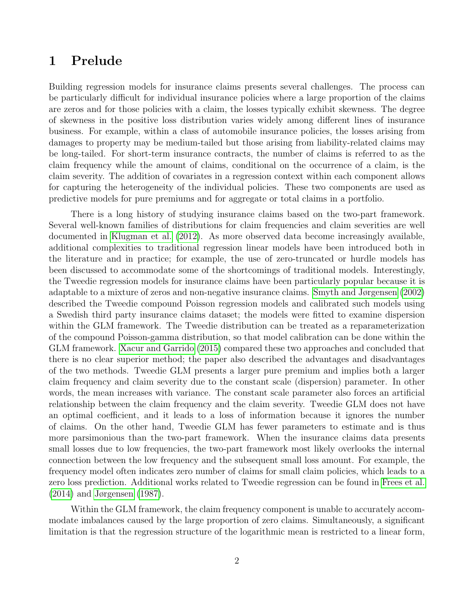### <span id="page-1-0"></span>1 Prelude

Building regression models for insurance claims presents several challenges. The process can be particularly difficult for individual insurance policies where a large proportion of the claims are zeros and for those policies with a claim, the losses typically exhibit skewness. The degree of skewness in the positive loss distribution varies widely among different lines of insurance business. For example, within a class of automobile insurance policies, the losses arising from damages to property may be medium-tailed but those arising from liability-related claims may be long-tailed. For short-term insurance contracts, the number of claims is referred to as the claim frequency while the amount of claims, conditional on the occurrence of a claim, is the claim severity. The addition of covariates in a regression context within each component allows for capturing the heterogeneity of the individual policies. These two components are used as predictive models for pure premiums and for aggregate or total claims in a portfolio.

There is a long history of studying insurance claims based on the two-part framework. Several well-known families of distributions for claim frequencies and claim severities are well documented in [Klugman et al.](#page-22-0) [\(2012\)](#page-22-0). As more observed data become increasingly available, additional complexities to traditional regression linear models have been introduced both in the literature and in practice; for example, the use of zero-truncated or hurdle models has been discussed to accommodate some of the shortcomings of traditional models. Interestingly, the Tweedie regression models for insurance claims have been particularly popular because it is adaptable to a mixture of zeros and non-negative insurance claims. [Smyth and Jørgensen](#page-23-0) [\(2002\)](#page-23-0) described the Tweedie compound Poisson regression models and calibrated such models using a Swedish third party insurance claims dataset; the models were fitted to examine dispersion within the GLM framework. The Tweedie distribution can be treated as a reparameterization of the compound Poisson-gamma distribution, so that model calibration can be done within the GLM framework. [Xacur and Garrido](#page-23-1) [\(2015\)](#page-23-1) compared these two approaches and concluded that there is no clear superior method; the paper also described the advantages and disadvantages of the two methods. Tweedie GLM presents a larger pure premium and implies both a larger claim frequency and claim severity due to the constant scale (dispersion) parameter. In other words, the mean increases with variance. The constant scale parameter also forces an artificial relationship between the claim frequency and the claim severity. Tweedie GLM does not have an optimal coefficient, and it leads to a loss of information because it ignores the number of claims. On the other hand, Tweedie GLM has fewer parameters to estimate and is thus more parsimonious than the two-part framework. When the insurance claims data presents small losses due to low frequencies, the two-part framework most likely overlooks the internal connection between the low frequency and the subsequent small loss amount. For example, the frequency model often indicates zero number of claims for small claim policies, which leads to a zero loss prediction. Additional works related to Tweedie regression can be found in [Frees et al.](#page-22-1) [\(2014\)](#page-22-1) and [Jørgensen](#page-22-2) [\(1987\)](#page-22-2).

Within the GLM framework, the claim frequency component is unable to accurately accommodate imbalances caused by the large proportion of zero claims. Simultaneously, a significant limitation is that the regression structure of the logarithmic mean is restricted to a linear form,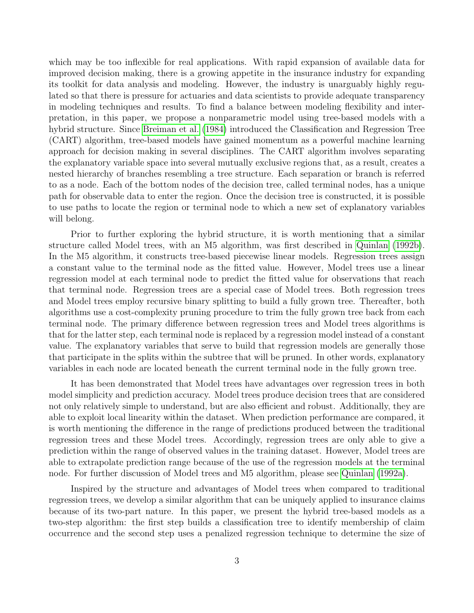which may be too inflexible for real applications. With rapid expansion of available data for improved decision making, there is a growing appetite in the insurance industry for expanding its toolkit for data analysis and modeling. However, the industry is unarguably highly regulated so that there is pressure for actuaries and data scientists to provide adequate transparency in modeling techniques and results. To find a balance between modeling flexibility and interpretation, in this paper, we propose a nonparametric model using tree-based models with a hybrid structure. Since [Breiman et al.](#page-22-3) [\(1984\)](#page-22-3) introduced the Classification and Regression Tree (CART) algorithm, tree-based models have gained momentum as a powerful machine learning approach for decision making in several disciplines. The CART algorithm involves separating the explanatory variable space into several mutually exclusive regions that, as a result, creates a nested hierarchy of branches resembling a tree structure. Each separation or branch is referred to as a node. Each of the bottom nodes of the decision tree, called terminal nodes, has a unique path for observable data to enter the region. Once the decision tree is constructed, it is possible to use paths to locate the region or terminal node to which a new set of explanatory variables will belong.

Prior to further exploring the hybrid structure, it is worth mentioning that a similar structure called Model trees, with an M5 algorithm, was first described in [Quinlan](#page-23-2) [\(1992b\)](#page-23-2). In the M5 algorithm, it constructs tree-based piecewise linear models. Regression trees assign a constant value to the terminal node as the fitted value. However, Model trees use a linear regression model at each terminal node to predict the fitted value for observations that reach that terminal node. Regression trees are a special case of Model trees. Both regression trees and Model trees employ recursive binary splitting to build a fully grown tree. Thereafter, both algorithms use a cost-complexity pruning procedure to trim the fully grown tree back from each terminal node. The primary difference between regression trees and Model trees algorithms is that for the latter step, each terminal node is replaced by a regression model instead of a constant value. The explanatory variables that serve to build that regression models are generally those that participate in the splits within the subtree that will be pruned. In other words, explanatory variables in each node are located beneath the current terminal node in the fully grown tree.

It has been demonstrated that Model trees have advantages over regression trees in both model simplicity and prediction accuracy. Model trees produce decision trees that are considered not only relatively simple to understand, but are also efficient and robust. Additionally, they are able to exploit local linearity within the dataset. When prediction performance are compared, it is worth mentioning the difference in the range of predictions produced between the traditional regression trees and these Model trees. Accordingly, regression trees are only able to give a prediction within the range of observed values in the training dataset. However, Model trees are able to extrapolate prediction range because of the use of the regression models at the terminal node. For further discussion of Model trees and M5 algorithm, please see [Quinlan](#page-23-3) [\(1992a\)](#page-23-3).

Inspired by the structure and advantages of Model trees when compared to traditional regression trees, we develop a similar algorithm that can be uniquely applied to insurance claims because of its two-part nature. In this paper, we present the hybrid tree-based models as a two-step algorithm: the first step builds a classification tree to identify membership of claim occurrence and the second step uses a penalized regression technique to determine the size of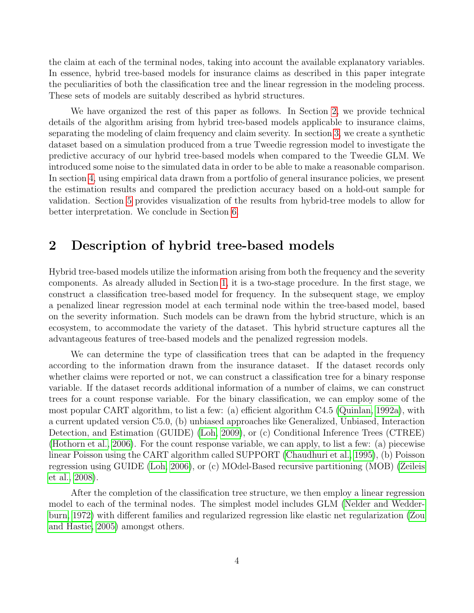the claim at each of the terminal nodes, taking into account the available explanatory variables. In essence, hybrid tree-based models for insurance claims as described in this paper integrate the peculiarities of both the classification tree and the linear regression in the modeling process. These sets of models are suitably described as hybrid structures.

We have organized the rest of this paper as follows. In Section [2,](#page-3-0) we provide technical details of the algorithm arising from hybrid tree-based models applicable to insurance claims, separating the modeling of claim frequency and claim severity. In section [3,](#page-9-0) we create a synthetic dataset based on a simulation produced from a true Tweedie regression model to investigate the predictive accuracy of our hybrid tree-based models when compared to the Tweedie GLM. We introduced some noise to the simulated data in order to be able to make a reasonable comparison. In section [4,](#page-11-0) using empirical data drawn from a portfolio of general insurance policies, we present the estimation results and compared the prediction accuracy based on a hold-out sample for validation. Section [5](#page-14-0) provides visualization of the results from hybrid-tree models to allow for better interpretation. We conclude in Section [6.](#page-18-0)

### <span id="page-3-0"></span>2 Description of hybrid tree-based models

Hybrid tree-based models utilize the information arising from both the frequency and the severity components. As already alluded in Section [1,](#page-1-0) it is a two-stage procedure. In the first stage, we construct a classification tree-based model for frequency. In the subsequent stage, we employ a penalized linear regression model at each terminal node within the tree-based model, based on the severity information. Such models can be drawn from the hybrid structure, which is an ecosystem, to accommodate the variety of the dataset. This hybrid structure captures all the advantageous features of tree-based models and the penalized regression models.

We can determine the type of classification trees that can be adapted in the frequency according to the information drawn from the insurance dataset. If the dataset records only whether claims were reported or not, we can construct a classification tree for a binary response variable. If the dataset records additional information of a number of claims, we can construct trees for a count response variable. For the binary classification, we can employ some of the most popular CART algorithm, to list a few: (a) efficient algorithm C4.5 [\(Quinlan, 1992a\)](#page-23-3), with a current updated version C5.0, (b) unbiased approaches like Generalized, Unbiased, Interaction Detection, and Estimation (GUIDE) [\(Loh, 2009\)](#page-22-4), or (c) Conditional Inference Trees (CTREE) [\(Hothorn et al., 2006\)](#page-22-5). For the count response variable, we can apply, to list a few: (a) piecewise linear Poisson using the CART algorithm called SUPPORT [\(Chaudhuri et al., 1995\)](#page-22-6), (b) Poisson regression using GUIDE [\(Loh, 2006\)](#page-22-7), or (c) MOdel-Based recursive partitioning (MOB) [\(Zeileis](#page-23-4) [et al., 2008\)](#page-23-4).

After the completion of the classification tree structure, we then employ a linear regression model to each of the terminal nodes. The simplest model includes GLM [\(Nelder and Wedder](#page-23-5)[burn, 1972\)](#page-23-5) with different families and regularized regression like elastic net regularization [\(Zou](#page-23-6) [and Hastie, 2005\)](#page-23-6) amongst others.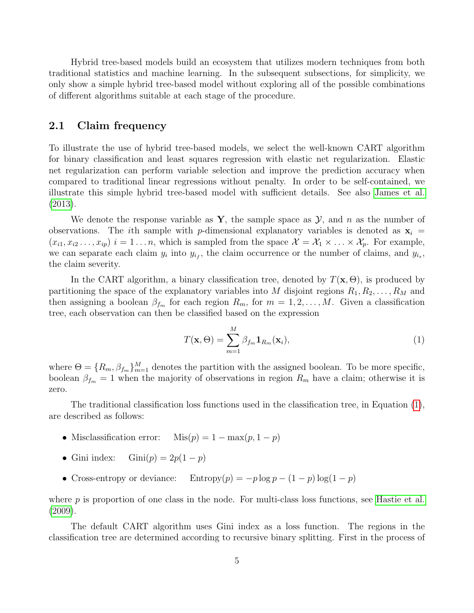Hybrid tree-based models build an ecosystem that utilizes modern techniques from both traditional statistics and machine learning. In the subsequent subsections, for simplicity, we only show a simple hybrid tree-based model without exploring all of the possible combinations of different algorithms suitable at each stage of the procedure.

#### 2.1 Claim frequency

To illustrate the use of hybrid tree-based models, we select the well-known CART algorithm for binary classification and least squares regression with elastic net regularization. Elastic net regularization can perform variable selection and improve the prediction accuracy when compared to traditional linear regressions without penalty. In order to be self-contained, we illustrate this simple hybrid tree-based model with sufficient details. See also [James et al.](#page-22-8) [\(2013\)](#page-22-8).

We denote the response variable as  $Y$ , the sample space as  $Y$ , and n as the number of observations. The *i*th sample with p-dimensional explanatory variables is denoted as  $x_i$  =  $(x_{i1}, x_{i2}, \ldots, x_{ip})$   $i = 1 \ldots n$ , which is sampled from the space  $\mathcal{X} = \mathcal{X}_1 \times \ldots \times \mathcal{X}_p$ . For example, we can separate each claim  $y_i$  into  $y_{i_f}$ , the claim occurrence or the number of claims, and  $y_{i_s}$ , the claim severity.

In the CART algorithm, a binary classification tree, denoted by  $T(\mathbf{x}, \Theta)$ , is produced by partitioning the space of the explanatory variables into M disjoint regions  $R_1, R_2, \ldots, R_M$  and then assigning a boolean  $\beta_{f_m}$  for each region  $R_m$ , for  $m = 1, 2, ..., M$ . Given a classification tree, each observation can then be classified based on the expression

<span id="page-4-0"></span>
$$
T(\mathbf{x}, \Theta) = \sum_{m=1}^{M} \beta_{fm} \mathbf{1}_{R_m}(\mathbf{x}_i),
$$
\n(1)

where  $\Theta = \{R_m, \beta_{m}\}_{m=1}^M$  denotes the partition with the assigned boolean. To be more specific, boolean  $\beta_{f_m} = 1$  when the majority of observations in region  $R_m$  have a claim; otherwise it is zero.

The traditional classification loss functions used in the classification tree, in Equation [\(1\)](#page-4-0), are described as follows:

- Misclassification error:  $Mis(p) = 1 max(p, 1 p)$
- Gini index:  $Gini(p) = 2p(1-p)$
- Cross-entropy or deviance: Entropy $(p) = -p \log p (1 p) \log(1 p)$

where  $p$  is proportion of one class in the node. For multi-class loss functions, see [Hastie et al.](#page-22-9) [\(2009\)](#page-22-9).

The default CART algorithm uses Gini index as a loss function. The regions in the classification tree are determined according to recursive binary splitting. First in the process of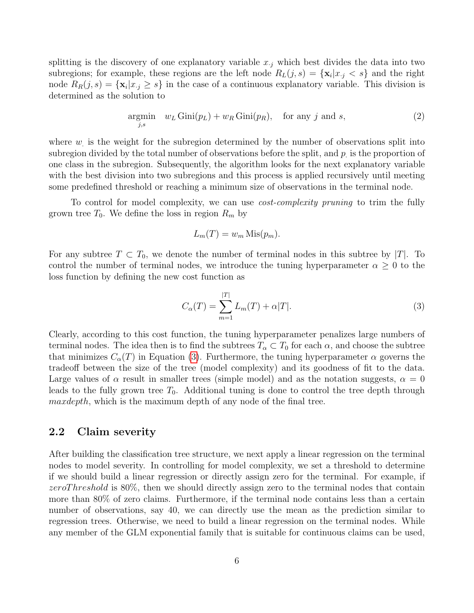splitting is the discovery of one explanatory variable  $x_{i}$ , which best divides the data into two subregions; for example, these regions are the left node  $R_L(j, s) = {\mathbf{x}_i | x_j < s}$  and the right node  $R_R(j,s) = {\mathbf{x}_i | x_{i j} \geq s}$  in the case of a continuous explanatory variable. This division is determined as the solution to

$$
\underset{j,s}{\text{argmin}} \quad w_L \operatorname{Gini}(p_L) + w_R \operatorname{Gini}(p_R), \quad \text{for any } j \text{ and } s,
$$
\n<sup>(2)</sup>

where  $w_i$  is the weight for the subregion determined by the number of observations split into subregion divided by the total number of observations before the split, and  $p$  is the proportion of one class in the subregion. Subsequently, the algorithm looks for the next explanatory variable with the best division into two subregions and this process is applied recursively until meeting some predefined threshold or reaching a minimum size of observations in the terminal node.

To control for model complexity, we can use *cost-complexity pruning* to trim the fully grown tree  $T_0$ . We define the loss in region  $R_m$  by

$$
L_m(T) = w_m \operatorname{Mis}(p_m).
$$

For any subtree  $T \subset T_0$ , we denote the number of terminal nodes in this subtree by |T|. To control the number of terminal nodes, we introduce the tuning hyperparameter  $\alpha \geq 0$  to the loss function by defining the new cost function as

<span id="page-5-0"></span>
$$
C_{\alpha}(T) = \sum_{m=1}^{|T|} L_m(T) + \alpha |T|.
$$
 (3)

Clearly, according to this cost function, the tuning hyperparameter penalizes large numbers of terminal nodes. The idea then is to find the subtrees  $T_{\alpha} \subset T_0$  for each  $\alpha$ , and choose the subtree that minimizes  $C_{\alpha}(T)$  in Equation [\(3\)](#page-5-0). Furthermore, the tuning hyperparameter  $\alpha$  governs the tradeoff between the size of the tree (model complexity) and its goodness of fit to the data. Large values of  $\alpha$  result in smaller trees (simple model) and as the notation suggests,  $\alpha = 0$ leads to the fully grown tree  $T_0$ . Additional tuning is done to control the tree depth through maxdepth, which is the maximum depth of any node of the final tree.

#### 2.2 Claim severity

After building the classification tree structure, we next apply a linear regression on the terminal nodes to model severity. In controlling for model complexity, we set a threshold to determine if we should build a linear regression or directly assign zero for the terminal. For example, if zeroThreshold is 80%, then we should directly assign zero to the terminal nodes that contain more than 80% of zero claims. Furthermore, if the terminal node contains less than a certain number of observations, say 40, we can directly use the mean as the prediction similar to regression trees. Otherwise, we need to build a linear regression on the terminal nodes. While any member of the GLM exponential family that is suitable for continuous claims can be used,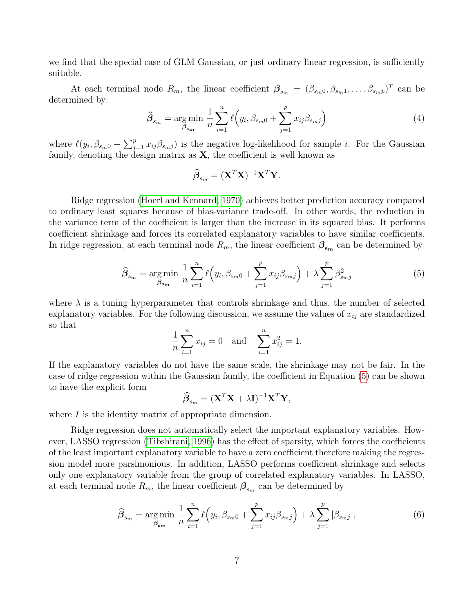we find that the special case of GLM Gaussian, or just ordinary linear regression, is sufficiently suitable.

At each terminal node  $R_m$ , the linear coefficient  $\boldsymbol{\beta}_{s_m} = (\beta_{s_m 0}, \beta_{s_m 1}, \dots, \beta_{s_m p})^T$  can be determined by:

$$
\widehat{\beta}_{s_m} = \underset{\beta_{\text{sm}}}{\arg \min} \frac{1}{n} \sum_{i=1}^n \ell(y_i, \beta_{s_m 0} + \sum_{j=1}^p x_{ij} \beta_{s_m j}) \tag{4}
$$

where  $\ell(y_i, \beta_{s_m0} + \sum_{j=1}^p x_{ij}\beta_{s_mj})$  is the negative log-likelihood for sample i. For the Gaussian family, denoting the design matrix as  $X$ , the coefficient is well known as

$$
\widehat{\boldsymbol{\beta}}_{s_m} = (\mathbf{X}^T \mathbf{X})^{-1} \mathbf{X}^T \mathbf{Y}.
$$

Ridge regression [\(Hoerl and Kennard, 1970\)](#page-22-10) achieves better prediction accuracy compared to ordinary least squares because of bias-variance trade-off. In other words, the reduction in the variance term of the coefficient is larger than the increase in its squared bias. It performs coefficient shrinkage and forces its correlated explanatory variables to have similar coefficients. In ridge regression, at each terminal node  $R_m$ , the linear coefficient  $\beta_{s_m}$  can be determined by

<span id="page-6-0"></span>
$$
\hat{\beta}_{s_m} = \underset{\beta_{s_m}}{\text{arg min}} \frac{1}{n} \sum_{i=1}^n \ell(y_i, \beta_{s_m 0} + \sum_{j=1}^p x_{ij} \beta_{s_m j}) + \lambda \sum_{j=1}^p \beta_{s_m j}^2 \tag{5}
$$

where  $\lambda$  is a tuning hyperparameter that controls shrinkage and thus, the number of selected explanatory variables. For the following discussion, we assume the values of  $x_{ij}$  are standardized so that

$$
\frac{1}{n}\sum_{i=1}^{n}x_{ij} = 0 \text{ and } \sum_{i=1}^{n}x_{ij}^{2} = 1.
$$

If the explanatory variables do not have the same scale, the shrinkage may not be fair. In the case of ridge regression within the Gaussian family, the coefficient in Equation [\(5\)](#page-6-0) can be shown to have the explicit form

$$
\widehat{\boldsymbol{\beta}}_{s_m} = (\mathbf{X}^T \mathbf{X} + \lambda \mathbf{I})^{-1} \mathbf{X}^T \mathbf{Y},
$$

where  $I$  is the identity matrix of appropriate dimension.

Ridge regression does not automatically select the important explanatory variables. However, LASSO regression [\(Tibshirani, 1996\)](#page-23-7) has the effect of sparsity, which forces the coefficients of the least important explanatory variable to have a zero coefficient therefore making the regression model more parsimonious. In addition, LASSO performs coefficient shrinkage and selects only one explanatory variable from the group of correlated explanatory variables. In LASSO, at each terminal node  $R_m$ , the linear coefficient  $\boldsymbol{\beta}_{s_m}$  can be determined by

<span id="page-6-1"></span>
$$
\widehat{\beta}_{s_m} = \underset{\beta_{s_m}}{\text{arg min}} \frac{1}{n} \sum_{i=1}^n \ell(y_i, \beta_{s_m 0} + \sum_{j=1}^p x_{ij} \beta_{s_m j}) + \lambda \sum_{j=1}^p |\beta_{s_m j}|,\tag{6}
$$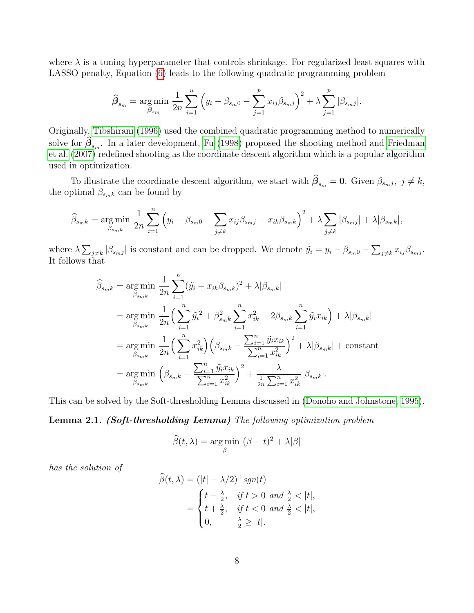where  $\lambda$  is a tuning hyperparameter that controls shrinkage. For regularized least squares with LASSO penalty, Equation [\(6\)](#page-6-1) leads to the following quadratic programming problem

$$
\widehat{\beta}_{s_m} = \underset{\beta_{s_m}}{\text{arg min}} \frac{1}{2n} \sum_{i=1}^n \left( y_i - \beta_{s_m 0} - \sum_{j=1}^p x_{ij} \beta_{s_m j} \right)^2 + \lambda \sum_{j=1}^p |\beta_{s_m j}|.
$$

Originally, [Tibshirani](#page-23-7) [\(1996\)](#page-23-7) used the combined quadratic programming method to numerically solve for  $\beta_{\text{sm}}$ . In a later development, [Fu](#page-22-11) [\(1998\)](#page-22-11) proposed the shooting method and [Friedman](#page-22-12) [et al.](#page-22-12) [\(2007\)](#page-22-12) redefined shooting as the coordinate descent algorithm which is a popular algorithm used in optimization.

To illustrate the coordinate descent algorithm, we start with  $\beta_{s_m} = 0$ . Given  $\beta_{s_m j}$ ,  $j \neq k$ , the optimal  $\beta_{s_m k}$  can be found by

$$
\widehat{\beta}_{s_{m}k} = \underset{\beta_{smk}}{\arg \min} \frac{1}{2n} \sum_{i=1}^{n} \left( y_i - \beta_{s_m 0} - \sum_{j \neq k} x_{ij} \beta_{s_m j} - x_{ik} \beta_{s_m k} \right)^2 + \lambda \sum_{j \neq k} |\beta_{s_m j}| + \lambda |\beta_{s_m k}|,
$$

where  $\lambda \sum_{j \neq k} |\beta_{s_m j}|$  is constant and can be dropped. We denote  $\tilde{y}_i = y_i - \beta_{s_m 0} - \sum_{j \neq k} x_{ij} \beta_{s_m j}$ . It follows that

$$
\widehat{\beta}_{s_{mk}} = \underset{\beta_{s_{mk}}}{\arg \min} \frac{1}{2n} \sum_{i=1}^{n} (\tilde{y}_{i} - x_{ik}\beta_{s_{mk}})^{2} + \lambda |\beta_{s_{mk}}| \n= \underset{\beta_{s_{mk}}}{\arg \min} \frac{1}{2n} \Big( \sum_{i=1}^{n} \tilde{y}_{i}^{2} + \beta_{s_{mk}}^{2} \sum_{i=1}^{n} x_{ik}^{2} - 2\beta_{s_{mk}} \sum_{i=1}^{n} \tilde{y}_{i} x_{ik} \Big) + \lambda |\beta_{s_{mk}}| \n= \underset{\beta_{s_{mk}}}{\arg \min} \frac{1}{2n} \Big( \sum_{i=1}^{n} x_{ik}^{2} \Big) \Big( \beta_{s_{mk}} - \frac{\sum_{i=1}^{n} \tilde{y}_{i} x_{ik}}{\sum_{i=1}^{n} x_{ik}^{2}} \Big)^{2} + \lambda |\beta_{s_{mk}}| + \text{constant} \n= \underset{\beta_{s_{mk}}}{\arg \min} \Big( \beta_{s_{mk}} - \frac{\sum_{i=1}^{n} \tilde{y}_{i} x_{ik}}{\sum_{i=1}^{n} x_{ik}^{2}} \Big)^{2} + \frac{\lambda}{\frac{1}{2n} \sum_{i=1}^{n} x_{ik}^{2}} |\beta_{s_{mk}}|.
$$

This can be solved by the Soft-thresholding Lemma discussed in [\(Donoho and Johnstone, 1995\)](#page-22-13).

#### Lemma 2.1. (Soft-thresholding Lemma) The following optimization problem

$$
\widehat{\beta}(t,\lambda) = \underset{\beta}{\arg\min} \ (\beta - t)^2 + \lambda|\beta|
$$

has the solution of

$$
\widehat{\beta}(t,\lambda) = (|t| - \lambda/2)^+ sgn(t)
$$
  
= 
$$
\begin{cases} t - \frac{\lambda}{2}, & \text{if } t > 0 \text{ and } \frac{\lambda}{2} < |t|, \\ t + \frac{\lambda}{2}, & \text{if } t < 0 \text{ and } \frac{\lambda}{2} < |t|, \\ 0, & \frac{\lambda}{2} \ge |t|. \end{cases}
$$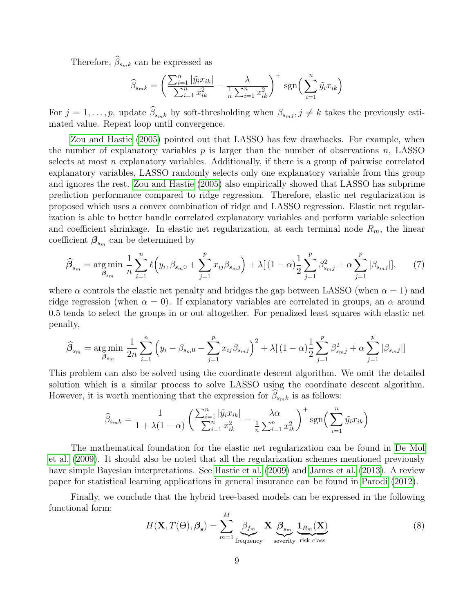Therefore,  $\widehat{\beta}_{smk}$  can be expressed as

$$
\widehat{\beta}_{smk} = \left(\frac{\sum_{i=1}^{n} |\tilde{y}_i x_{ik}|}{\sum_{i=1}^{n} x_{ik}^2} - \frac{\lambda}{\frac{1}{n} \sum_{i=1}^{n} x_{ik}^2}\right)^+ \text{sgn}\left(\sum_{i=1}^{n} \tilde{y}_i x_{ik}\right)
$$

For  $j = 1, \ldots, p$ , update  $\beta_{s_m k}$  by soft-thresholding when  $\beta_{s_m j}$ ,  $j \neq k$  takes the previously estimated value. Repeat loop until convergence.

[Zou and Hastie](#page-23-6) [\(2005\)](#page-23-6) pointed out that LASSO has few drawbacks. For example, when the number of explanatory variables  $p$  is larger than the number of observations  $n$ , LASSO selects at most n explanatory variables. Additionally, if there is a group of pairwise correlated explanatory variables, LASSO randomly selects only one explanatory variable from this group and ignores the rest. [Zou and Hastie](#page-23-6) [\(2005\)](#page-23-6) also empirically showed that LASSO has subprime prediction performance compared to ridge regression. Therefore, elastic net regularization is proposed which uses a convex combination of ridge and LASSO regression. Elastic net regularization is able to better handle correlated explanatory variables and perform variable selection and coefficient shrinkage. In elastic net regularization, at each terminal node  $R_m$ , the linear coefficient  $\beta_{s_m}$  can be determined by

$$
\widehat{\beta}_{s_m} = \underset{\beta_{s_m}}{\arg \min} \frac{1}{n} \sum_{i=1}^n \ell\Big(y_i, \beta_{s_m 0} + \sum_{j=1}^p x_{ij} \beta_{s_m j}\Big) + \lambda \big[ (1-\alpha) \frac{1}{2} \sum_{j=1}^p \beta_{s_m j}^2 + \alpha \sum_{j=1}^p |\beta_{s_m j}| \big],\tag{7}
$$

where  $\alpha$  controls the elastic net penalty and bridges the gap between LASSO (when  $\alpha = 1$ ) and ridge regression (when  $\alpha = 0$ ). If explanatory variables are correlated in groups, an  $\alpha$  around 0.5 tends to select the groups in or out altogether. For penalized least squares with elastic net penalty,

$$
\widehat{\beta}_{s_m} = \underset{\beta_{s_m}}{\arg \min} \frac{1}{2n} \sum_{i=1}^n \left( y_i - \beta_{s_m 0} - \sum_{j=1}^p x_{ij} \beta_{s_m j} \right)^2 + \lambda \left[ (1 - \alpha) \frac{1}{2} \sum_{j=1}^p \beta_{s_m j}^2 + \alpha \sum_{j=1}^p |\beta_{s_m j}| \right]
$$

This problem can also be solved using the coordinate descent algorithm. We omit the detailed solution which is a similar process to solve LASSO using the coordinate descent algorithm. However, it is worth mentioning that the expression for  $\beta_{s_m k}$  is as follows:

$$
\widehat{\beta}_{s_{mk}} = \frac{1}{1 + \lambda(1 - \alpha)} \left( \frac{\sum_{i=1}^{n} |\tilde{y}_{i} x_{ik}|}{\sum_{i=1}^{n} x_{ik}^{2}} - \frac{\lambda \alpha}{\frac{1}{n} \sum_{i=1}^{n} x_{ik}^{2}} \right)^{+} \text{sgn}\left( \sum_{i=1}^{n} \tilde{y}_{i} x_{ik} \right)
$$

The mathematical foundation for the elastic net regularization can be found in [De Mol](#page-22-14) [et al.](#page-22-14) [\(2009\)](#page-22-14). It should also be noted that all the regularization schemes mentioned previously have simple Bayesian interpretations. See [Hastie et al.](#page-22-9) [\(2009\)](#page-22-9) and [James et al.](#page-22-8) [\(2013\)](#page-22-8). A review paper for statistical learning applications in general insurance can be found in [Parodi](#page-23-8) [\(2012\)](#page-23-8).

Finally, we conclude that the hybrid tree-based models can be expressed in the following functional form:

<span id="page-8-0"></span>
$$
H(\mathbf{X}, T(\Theta), \beta_{s}) = \sum_{m=1}^{M} \underbrace{\beta_{f_m}}_{\text{frequency}} \mathbf{X} \underbrace{\beta_{s_m}}_{\text{severity risk class}} \underbrace{\mathbf{1}_{R_m}(\mathbf{X})}_{(8)}
$$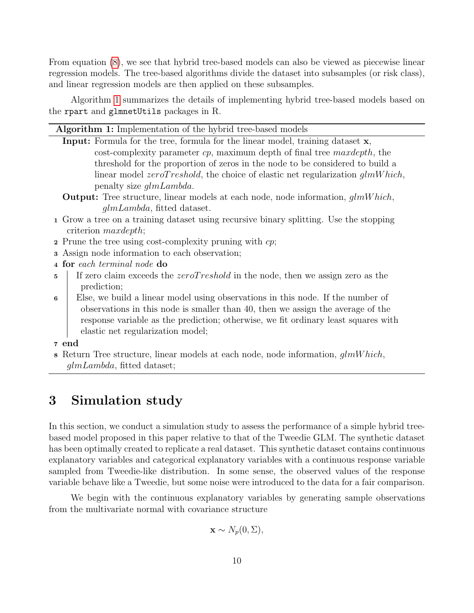From equation [\(8\)](#page-8-0), we see that hybrid tree-based models can also be viewed as piecewise linear regression models. The tree-based algorithms divide the dataset into subsamples (or risk class), and linear regression models are then applied on these subsamples.

Algorithm [1](#page-9-1) summarizes the details of implementing hybrid tree-based models based on the rpart and glmnetUtils packages in R.

| <b>Algorithm 1:</b> Implementation of the hybrid tree-based models |  |  |  |  |  |
|--------------------------------------------------------------------|--|--|--|--|--|
|                                                                    |  |  |  |  |  |

- Input: Formula for the tree, formula for the linear model, training dataset x,  $\cos t$ -complexity parameter  $cp$ , maximum depth of final tree maxdepth, the threshold for the proportion of zeros in the node to be considered to build a linear model  $zeroTreshold$ , the choice of elastic net regularization  $glmWhich$ , penalty size glmLambda.
- **Output:** Tree structure, linear models at each node, node information,  $qlmWhich$ , glmLambda, fitted dataset.
- <sup>1</sup> Grow a tree on a training dataset using recursive binary splitting. Use the stopping criterion maxdepth;
- 2 Prune the tree using cost-complexity pruning with  $cp$ ;
- <sup>3</sup> Assign node information to each observation;
- <sup>4</sup> for each terminal node do
- 5 If zero claim exceeds the *zeroTreshold* in the node, then we assign zero as the prediction;
- <sup>6</sup> Else, we build a linear model using observations in this node. If the number of observations in this node is smaller than 40, then we assign the average of the response variable as the prediction; otherwise, we fit ordinary least squares with elastic net regularization model;
- <sup>7</sup> end
- <span id="page-9-1"></span>8 Return Tree structure, linear models at each node, node information,  $qlmWhich$ , glmLambda, fitted dataset;

## <span id="page-9-0"></span>3 Simulation study

In this section, we conduct a simulation study to assess the performance of a simple hybrid treebased model proposed in this paper relative to that of the Tweedie GLM. The synthetic dataset has been optimally created to replicate a real dataset. This synthetic dataset contains continuous explanatory variables and categorical explanatory variables with a continuous response variable sampled from Tweedie-like distribution. In some sense, the observed values of the response variable behave like a Tweedie, but some noise were introduced to the data for a fair comparison.

We begin with the continuous explanatory variables by generating sample observations from the multivariate normal with covariance structure

$$
\mathbf{x} \sim N_p(0, \Sigma),
$$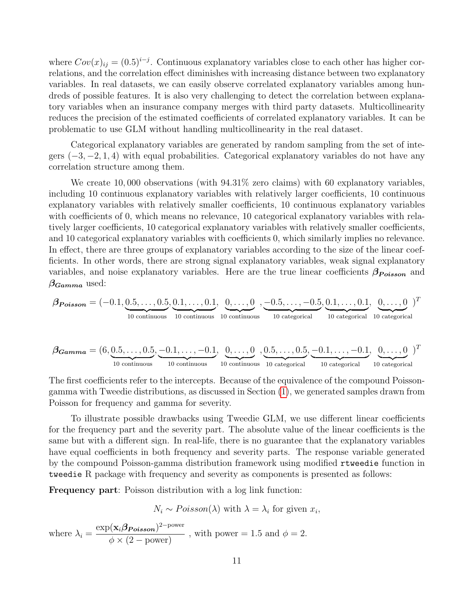where  $Cov(x)_{ij} = (0.5)^{i-j}$ . Continuous explanatory variables close to each other has higher correlations, and the correlation effect diminishes with increasing distance between two explanatory variables. In real datasets, we can easily observe correlated explanatory variables among hundreds of possible features. It is also very challenging to detect the correlation between explanatory variables when an insurance company merges with third party datasets. Multicollinearity reduces the precision of the estimated coefficients of correlated explanatory variables. It can be problematic to use GLM without handling multicollinearity in the real dataset.

Categorical explanatory variables are generated by random sampling from the set of integers  $(-3, -2, 1, 4)$  with equal probabilities. Categorical explanatory variables do not have any correlation structure among them.

We create 10,000 observations (with  $94.31\%$  zero claims) with 60 explanatory variables, including 10 continuous explanatory variables with relatively larger coefficients, 10 continuous explanatory variables with relatively smaller coefficients, 10 continuous explanatory variables with coefficients of 0, which means no relevance, 10 categorical explanatory variables with relatively larger coefficients, 10 categorical explanatory variables with relatively smaller coefficients, and 10 categorical explanatory variables with coefficients 0, which similarly implies no relevance. In effect, there are three groups of explanatory variables according to the size of the linear coefficients. In other words, there are strong signal explanatory variables, weak signal explanatory variables, and noise explanatory variables. Here are the true linear coefficients  $\beta_{Poisson}$  and  $\beta_{Gamma}$  used:

$$
\boldsymbol{\beta_{Poisson}} = (-0.1, \underbrace{0.5, \dots, 0.5}_{10 \text{ continuous}}, \underbrace{0.1, \dots, 0.1}_{10 \text{ continuous}}, \underbrace{0, \dots, 0}_{10 \text{ continuous}}, \underbrace{0.5, \dots, -0.5}_{10 \text{ continuous}}, \underbrace{0.1, \dots, 0.1}_{10 \text{ categorical}}, \underbrace{0, \dots, 0}_{10 \text{ categorical}}, \underbrace{0, \dots, 0}_{10 \text{ categorical}}, \underbrace{0, \dots, 0}_{10 \text{ categorical}}, \underbrace{0, \dots, 0}_{10 \text{ categorical}}, \underbrace{0, \dots, 0}_{10 \text{ categorical}}, \underbrace{0, \dots, 0}_{10 \text{ categorical}}, \underbrace{0, \dots, 0}_{10 \text{ categorical}}, \underbrace{0, \dots, 0}_{10 \text{ categorical}})^T
$$

The first coefficients refer to the intercepts. Because of the equivalence of the compound Poissongamma with Tweedie distributions, as discussed in Section [\(1\)](#page-1-0), we generated samples drawn from Poisson for frequency and gamma for severity.

To illustrate possible drawbacks using Tweedie GLM, we use different linear coefficients for the frequency part and the severity part. The absolute value of the linear coefficients is the same but with a different sign. In real-life, there is no guarantee that the explanatory variables have equal coefficients in both frequency and severity parts. The response variable generated by the compound Poisson-gamma distribution framework using modified rtweedie function in tweedie R package with frequency and severity as components is presented as follows:

Frequency part: Poisson distribution with a log link function:

$$
N_i \sim Poisson(\lambda)
$$
 with  $\lambda = \lambda_i$  for given  $x_i$ ,

where  $\lambda_i =$  $\exp(\mathbf{x}_i\boldsymbol{\beta_{Poisson}})^{2-\text{power}}$  $\frac{\phi \times (2 - \text{power})}{\phi \times (2 - \text{power})}$ , with power = 1.5 and  $\phi = 2$ .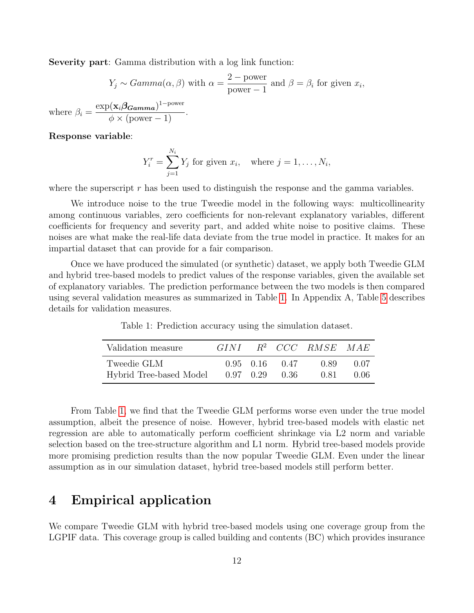Severity part: Gamma distribution with a log link function:

$$
Y_j \sim Gamma(\alpha, \beta) \text{ with } \alpha = \frac{2 - \text{power}}{\text{power} - 1} \text{ and } \beta = \beta_i \text{ for given } x_i,
$$

$$
= \frac{\exp(\mathbf{x}_i \beta_{\mathbf{Gamma}})^{1 - \text{power}}}{\sum_{i=1}^{i} \exp(\mathbf{x}_i \beta_{\mathbf{Gamma}})^{1 - \text{power}}}
$$

where  $\beta_i$  =  $\phi \times$  (power – 1).

Response variable:

$$
Y_i^r = \sum_{j=1}^{N_i} Y_j
$$
 for given  $x_i$ , where  $j = 1, ..., N_i$ ,

where the superscript  $r$  has been used to distinguish the response and the gamma variables.

We introduce noise to the true Tweedie model in the following ways: multicollinearity among continuous variables, zero coefficients for non-relevant explanatory variables, different coefficients for frequency and severity part, and added white noise to positive claims. These noises are what make the real-life data deviate from the true model in practice. It makes for an impartial dataset that can provide for a fair comparison.

<span id="page-11-1"></span>Once we have produced the simulated (or synthetic) dataset, we apply both Tweedie GLM and hybrid tree-based models to predict values of the response variables, given the available set of explanatory variables. The prediction performance between the two models is then compared using several validation measures as summarized in Table [1.](#page-11-1) In Appendix A, Table [5](#page-20-0) describes details for validation measures.

| Validation measure      | GINI- |           |        | $R^2$ CCC RMSE MAE |      |
|-------------------------|-------|-----------|--------|--------------------|------|
| Tweedie GLM             |       | 0.95 0.16 | (1.47) | 0.89               | 0.07 |
| Hybrid Tree-based Model |       | 0.97 0.29 | -0.36  | 0.81               | 0.06 |

Table 1: Prediction accuracy using the simulation dataset.

From Table [1,](#page-11-1) we find that the Tweedie GLM performs worse even under the true model assumption, albeit the presence of noise. However, hybrid tree-based models with elastic net regression are able to automatically perform coefficient shrinkage via L2 norm and variable selection based on the tree-structure algorithm and L1 norm. Hybrid tree-based models provide more promising prediction results than the now popular Tweedie GLM. Even under the linear assumption as in our simulation dataset, hybrid tree-based models still perform better.

## <span id="page-11-0"></span>4 Empirical application

We compare Tweedie GLM with hybrid tree-based models using one coverage group from the LGPIF data. This coverage group is called building and contents (BC) which provides insurance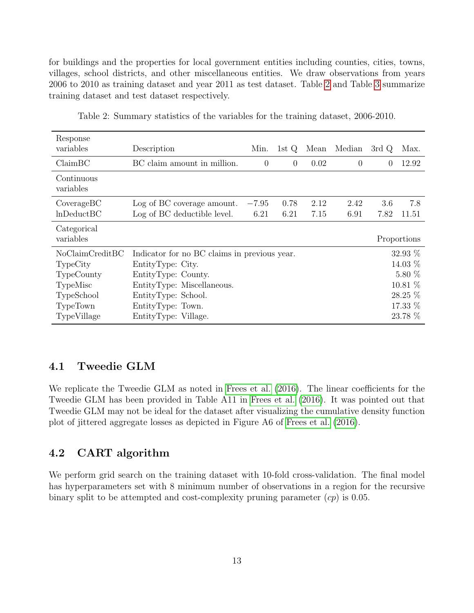for buildings and the properties for local government entities including counties, cities, towns, villages, school districts, and other miscellaneous entities. We draw observations from years 2006 to 2010 as training dataset and year 2011 as test dataset. Table [2](#page-12-0) and Table [3](#page-13-0) summarize training dataset and test dataset respectively.

<span id="page-12-0"></span>

| Response<br>variables    | Description                                  | Min.     | 1st Q    | Mean | Median   | 3rdQ      | Max.        |
|--------------------------|----------------------------------------------|----------|----------|------|----------|-----------|-------------|
| ClaimBC                  | BC claim amount in million.                  | $\theta$ | $\theta$ | 0.02 | $\Omega$ | $\Omega$  | 12.92       |
| Continuous<br>variables  |                                              |          |          |      |          |           |             |
| Coverage BC              | Log of BC coverage amount.                   | $-7.95$  | 0.78     | 2.12 | 2.42     | 3.6       | 7.8         |
| lnDeduct BC              | Log of BC deductible level.                  | 6.21     | 6.21     | 7.15 | 6.91     | 7.82      | 11.51       |
| Categorical<br>variables |                                              |          |          |      |          |           | Proportions |
| NoClaimCreditBC          | Indicator for no BC claims in previous year. |          |          |      |          |           | $32.93\%$   |
| TypeCity                 | EntityType: City.                            |          |          |      |          | 14.03 %   |             |
| TypeCounty               | EntityType: County.                          |          |          |      |          | $5.80\%$  |             |
| TypeMisc                 | EntityType: Miscellaneous.                   |          |          |      |          | $10.81\%$ |             |
| TypeSchool               | EntityType: School.                          |          |          |      |          | 28.25 %   |             |
| TypeTown                 | EntityType: Town.                            |          |          |      |          | 17.33 %   |             |
| TypeVillage              | EntityType: Village.                         |          |          |      |          |           | 23.78 %     |

Table 2: Summary statistics of the variables for the training dataset, 2006-2010.

#### 4.1 Tweedie GLM

We replicate the Tweedie GLM as noted in [Frees et al.](#page-22-15) [\(2016\)](#page-22-15). The linear coefficients for the Tweedie GLM has been provided in Table A11 in [Frees et al.](#page-22-15) [\(2016\)](#page-22-15). It was pointed out that Tweedie GLM may not be ideal for the dataset after visualizing the cumulative density function plot of jittered aggregate losses as depicted in Figure A6 of [Frees et al.](#page-22-15) [\(2016\)](#page-22-15).

### 4.2 CART algorithm

We perform grid search on the training dataset with 10-fold cross-validation. The final model has hyperparameters set with 8 minimum number of observations in a region for the recursive binary split to be attempted and cost-complexity pruning parameter  $cp$ ) is 0.05.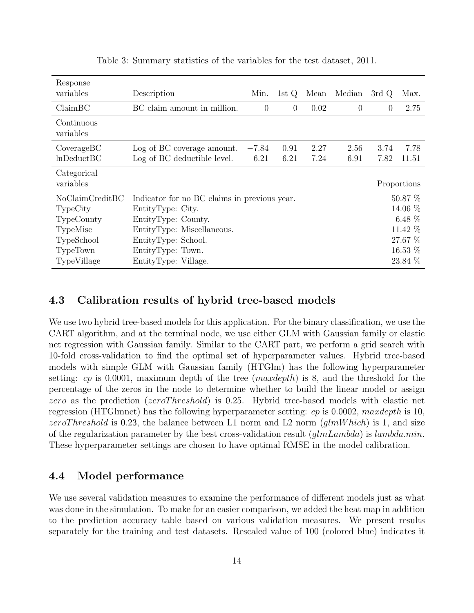<span id="page-13-0"></span>

| Response<br>variables    | Description                                  | Min.           | 1st $Q$  | Mean | Median   | 3rd Q    | Max.        |
|--------------------------|----------------------------------------------|----------------|----------|------|----------|----------|-------------|
| ClaimBC                  | BC claim amount in million.                  | $\overline{0}$ | $\theta$ | 0.02 | $\theta$ | $\Omega$ | 2.75        |
| Continuous<br>variables  |                                              |                |          |      |          |          |             |
| Coverage BC              | Log of BC coverage amount.                   | $-7.84$        | 0.91     | 2.27 | 2.56     | 3.74     | 7.78        |
| lnDeduct BC              | Log of BC deductible level.                  | 6.21           | 6.21     | 7.24 | 6.91     | 7.82     | 11.51       |
| Categorical<br>variables |                                              |                |          |      |          |          | Proportions |
| NoClaimCreditBC          | Indicator for no BC claims in previous year. |                |          |      |          |          | 50.87 %     |
| TypeCity                 | EntityType: City.                            |                |          |      |          | 14.06 %  |             |
| TypeCounty               | EntityType: County.                          |                |          |      |          | 6.48 $%$ |             |
| TypeMisc                 | EntityType: Miscellaneous.                   |                |          |      |          | 11.42 %  |             |
| TypeSchool               | EntityType: School.                          |                |          |      |          |          | 27.67 %     |
| TypeTown                 | EntityType: Town.                            |                |          |      |          |          | 16.53 %     |
| TypeVillage              | EntityType: Village.                         |                |          |      |          |          | 23.84 %     |

Table 3: Summary statistics of the variables for the test dataset, 2011.

#### 4.3 Calibration results of hybrid tree-based models

We use two hybrid tree-based models for this application. For the binary classification, we use the CART algorithm, and at the terminal node, we use either GLM with Gaussian family or elastic net regression with Gaussian family. Similar to the CART part, we perform a grid search with 10-fold cross-validation to find the optimal set of hyperparameter values. Hybrid tree-based models with simple GLM with Gaussian family (HTGlm) has the following hyperparameter setting:  $cp$  is 0.0001, maximum depth of the tree  $(maxdepth)$  is 8, and the threshold for the percentage of the zeros in the node to determine whether to build the linear model or assign zero as the prediction (zeroThreshold) is 0.25. Hybrid tree-based models with elastic net regression (HTGlmnet) has the following hyperparameter setting: cp is 0.0002, maxdepth is 10, zeroThreshold is 0.23, the balance between L1 norm and L2 norm  $(glmWhich)$  is 1, and size of the regularization parameter by the best cross-validation result  $(glmLambda)$  is  $lambda.min$ . These hyperparameter settings are chosen to have optimal RMSE in the model calibration.

#### 4.4 Model performance

We use several validation measures to examine the performance of different models just as what was done in the simulation. To make for an easier comparison, we added the heat map in addition to the prediction accuracy table based on various validation measures. We present results separately for the training and test datasets. Rescaled value of 100 (colored blue) indicates it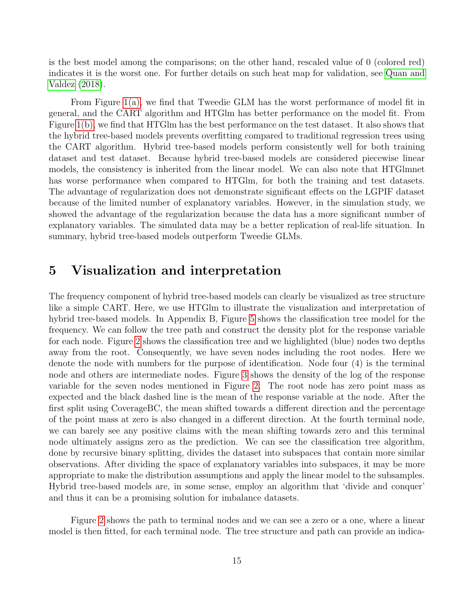is the best model among the comparisons; on the other hand, rescaled value of 0 (colored red) indicates it is the worst one. For further details on such heat map for validation, see [Quan and](#page-23-9) [Valdez](#page-23-9) [\(2018\)](#page-23-9).

From Figure [1\(a\),](#page-15-0) we find that Tweedie GLM has the worst performance of model fit in general, and the CART algorithm and HTGlm has better performance on the model fit. From Figure [1\(b\),](#page-15-0) we find that HTGlm has the best performance on the test dataset. It also shows that the hybrid tree-based models prevents overfitting compared to traditional regression trees using the CART algorithm. Hybrid tree-based models perform consistently well for both training dataset and test dataset. Because hybrid tree-based models are considered piecewise linear models, the consistency is inherited from the linear model. We can also note that HTGlmnet has worse performance when compared to HTGlm, for both the training and test datasets. The advantage of regularization does not demonstrate significant effects on the LGPIF dataset because of the limited number of explanatory variables. However, in the simulation study, we showed the advantage of the regularization because the data has a more significant number of explanatory variables. The simulated data may be a better replication of real-life situation. In summary, hybrid tree-based models outperform Tweedie GLMs.

### <span id="page-14-0"></span>5 Visualization and interpretation

The frequency component of hybrid tree-based models can clearly be visualized as tree structure like a simple CART. Here, we use HTGlm to illustrate the visualization and interpretation of hybrid tree-based models. In Appendix B, Figure [5](#page-21-0) shows the classification tree model for the frequency. We can follow the tree path and construct the density plot for the response variable for each node. Figure [2](#page-16-0) shows the classification tree and we highlighted (blue) nodes two depths away from the root. Consequently, we have seven nodes including the root nodes. Here we denote the node with numbers for the purpose of identification. Node four (4) is the terminal node and others are intermediate nodes. Figure [3](#page-17-0) shows the density of the log of the response variable for the seven nodes mentioned in Figure [2.](#page-16-0) The root node has zero point mass as expected and the black dashed line is the mean of the response variable at the node. After the first split using CoverageBC, the mean shifted towards a different direction and the percentage of the point mass at zero is also changed in a different direction. At the fourth terminal node, we can barely see any positive claims with the mean shifting towards zero and this terminal node ultimately assigns zero as the prediction. We can see the classification tree algorithm, done by recursive binary splitting, divides the dataset into subspaces that contain more similar observations. After dividing the space of explanatory variables into subspaces, it may be more appropriate to make the distribution assumptions and apply the linear model to the subsamples. Hybrid tree-based models are, in some sense, employ an algorithm that 'divide and conquer' and thus it can be a promising solution for imbalance datasets.

Figure [2](#page-16-0) shows the path to terminal nodes and we can see a zero or a one, where a linear model is then fitted, for each terminal node. The tree structure and path can provide an indica-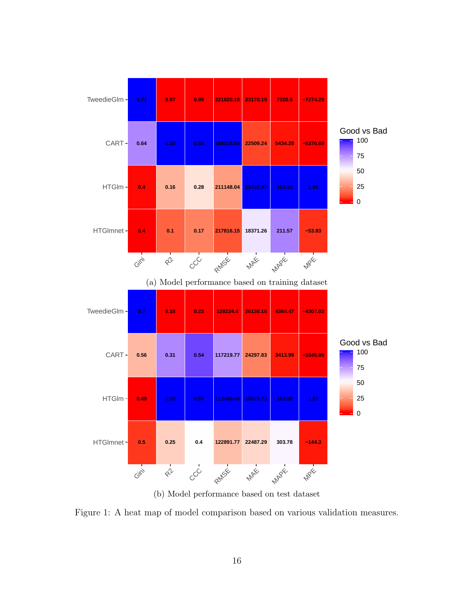<span id="page-15-0"></span>

(b) Model performance based on test dataset

Figure 1: A heat map of model comparison based on various validation measures.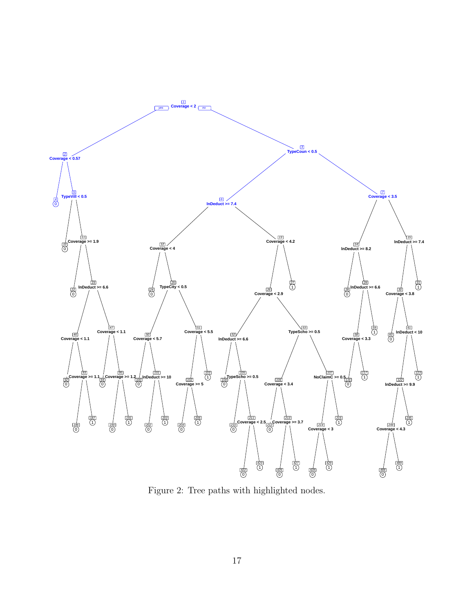<span id="page-16-0"></span>

Figure 2: Tree paths with highlighted nodes.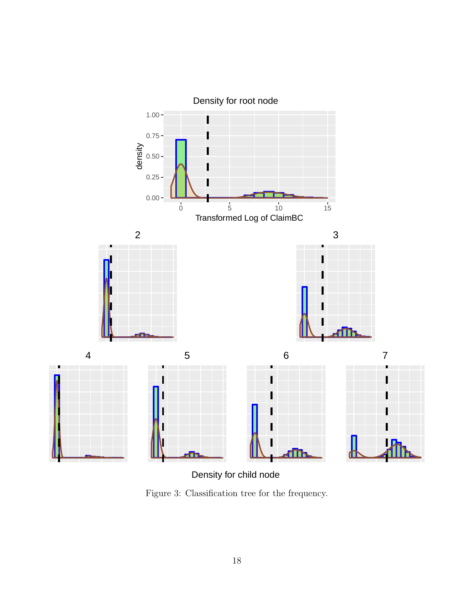<span id="page-17-0"></span>

Density for child node

Figure 3: Classification tree for the frequency.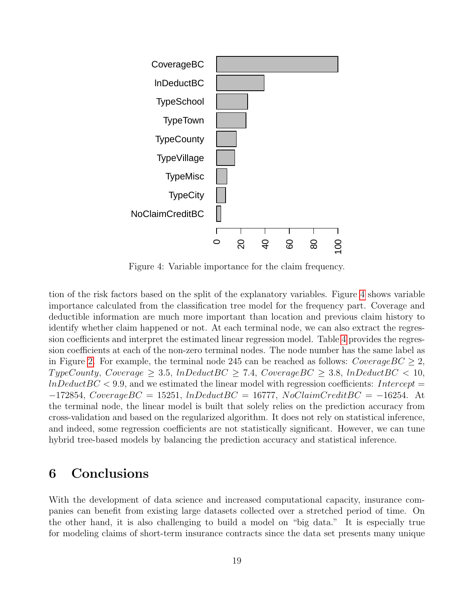<span id="page-18-1"></span>

Figure 4: Variable importance for the claim frequency.

tion of the risk factors based on the split of the explanatory variables. Figure [4](#page-18-1) shows variable importance calculated from the classification tree model for the frequency part. Coverage and deductible information are much more important than location and previous claim history to identify whether claim happened or not. At each terminal node, we can also extract the regression coefficients and interpret the estimated linear regression model. Table [4](#page-19-0) provides the regression coefficients at each of the non-zero terminal nodes. The node number has the same label as in Figure [2.](#page-16-0) For example, the terminal node 245 can be reached as follows:  $CoverageBC \geq 2$ ,  $TypeCountry, \,Coverage \geq 3.5, \,InDeduct BC \geq 7.4, \,Coverage BC \geq 3.8, \,InDeduct BC < 10,$  $lnDeductBC < 9.9$ , and we estimated the linear model with regression coefficients: Intercept  $-172854$ , CoverageBC = 15251, lnDeductBC = 16777, NoClaimCreditBC = -16254. At the terminal node, the linear model is built that solely relies on the prediction accuracy from cross-validation and based on the regularized algorithm. It does not rely on statistical inference, and indeed, some regression coefficients are not statistically significant. However, we can tune hybrid tree-based models by balancing the prediction accuracy and statistical inference.

### <span id="page-18-0"></span>6 Conclusions

With the development of data science and increased computational capacity, insurance companies can benefit from existing large datasets collected over a stretched period of time. On the other hand, it is also challenging to build a model on "big data." It is especially true for modeling claims of short-term insurance contracts since the data set presents many unique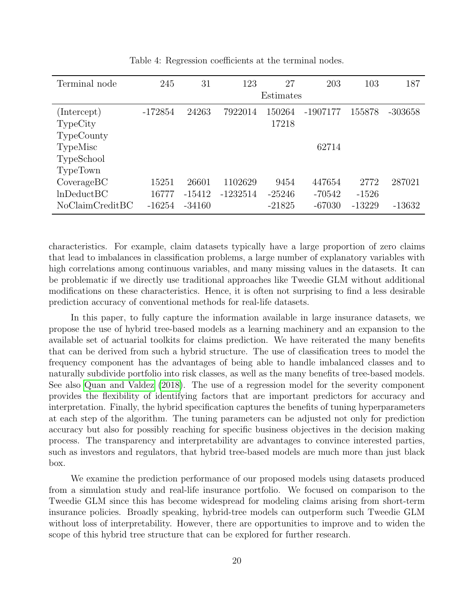<span id="page-19-0"></span>

| Terminal node   | 245       | 31       | 123        | 27        | 203        | 103      | 187       |
|-----------------|-----------|----------|------------|-----------|------------|----------|-----------|
|                 |           |          |            | Estimates |            |          |           |
| (Intercept)     | $-172854$ | 24263    | 7922014    | 150264    | $-1907177$ | 155878   | $-303658$ |
| TypeCity        |           |          |            | 17218     |            |          |           |
| TypeCounty      |           |          |            |           |            |          |           |
| TypeMisc        |           |          |            |           | 62714      |          |           |
| TypeSchool      |           |          |            |           |            |          |           |
| TypeTown        |           |          |            |           |            |          |           |
| Coverage BC     | 15251     | 26601    | 1102629    | 9454      | 447654     | 2772     | 287021    |
| lnDeduct BC     | 16777     | $-15412$ | $-1232514$ | $-25246$  | $-70542$   | $-1526$  |           |
| NoClaimCreditBC | $-16254$  | $-34160$ |            | $-21825$  | $-67030$   | $-13229$ | $-13632$  |

Table 4: Regression coefficients at the terminal nodes.

characteristics. For example, claim datasets typically have a large proportion of zero claims that lead to imbalances in classification problems, a large number of explanatory variables with high correlations among continuous variables, and many missing values in the datasets. It can be problematic if we directly use traditional approaches like Tweedie GLM without additional modifications on these characteristics. Hence, it is often not surprising to find a less desirable prediction accuracy of conventional methods for real-life datasets.

In this paper, to fully capture the information available in large insurance datasets, we propose the use of hybrid tree-based models as a learning machinery and an expansion to the available set of actuarial toolkits for claims prediction. We have reiterated the many benefits that can be derived from such a hybrid structure. The use of classification trees to model the frequency component has the advantages of being able to handle imbalanced classes and to naturally subdivide portfolio into risk classes, as well as the many benefits of tree-based models. See also [Quan and Valdez](#page-23-9) [\(2018\)](#page-23-9). The use of a regression model for the severity component provides the flexibility of identifying factors that are important predictors for accuracy and interpretation. Finally, the hybrid specification captures the benefits of tuning hyperparameters at each step of the algorithm. The tuning parameters can be adjusted not only for prediction accuracy but also for possibly reaching for specific business objectives in the decision making process. The transparency and interpretability are advantages to convince interested parties, such as investors and regulators, that hybrid tree-based models are much more than just black box.

We examine the prediction performance of our proposed models using datasets produced from a simulation study and real-life insurance portfolio. We focused on comparison to the Tweedie GLM since this has become widespread for modeling claims arising from short-term insurance policies. Broadly speaking, hybrid-tree models can outperform such Tweedie GLM without loss of interpretability. However, there are opportunities to improve and to widen the scope of this hybrid tree structure that can be explored for further research.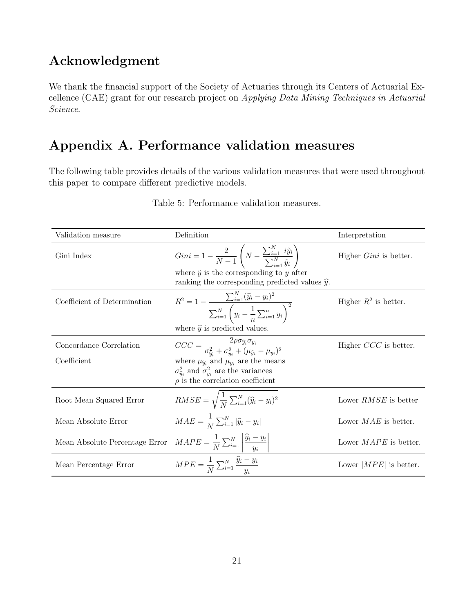## Acknowledgment

We thank the financial support of the Society of Actuaries through its Centers of Actuarial Excellence (CAE) grant for our research project on Applying Data Mining Techniques in Actuarial Science.

# Appendix A. Performance validation measures

<span id="page-20-0"></span>The following table provides details of the various validation measures that were used throughout this paper to compare different predictive models.

| Validation measure             | Definition                                                                                                                              | Interpretation                |
|--------------------------------|-----------------------------------------------------------------------------------------------------------------------------------------|-------------------------------|
| Gini Index                     | $Gini = 1 - \frac{2}{N-1} \left( N - \frac{\sum_{i=1}^{N} i \tilde{y}_{i}}{\sum_{i=1}^{N} \tilde{y}_{i}} \right)$                       | Higher <i>Gini</i> is better. |
|                                | where $\tilde{y}$ is the corresponding to y after<br>ranking the corresponding predicted values $\hat{y}$ .                             |                               |
| Coefficient of Determination   | $R^2 = 1 - \frac{\sum_{i=1}^{N} (\widehat{y}_i - y_i)^2}{\sum_{i=1}^{N} \left( y_i - \frac{1}{n} \sum_{i=1}^{n} y_i \right)^2}$         | Higher $R^2$ is better.       |
|                                | where $\hat{y}$ is predicted values.                                                                                                    |                               |
| Concordance Correlation        | $CCC = \frac{2\rho\sigma_{\widehat{y}_i}\sigma_{y_i}}{\sigma_{\widehat{y}_i}^2 + \sigma_{w_i}^2 + (\mu_{\widehat{y}_i} - \mu_{y_i})^2}$ | Higher $CCC$ is better.       |
| Coefficient                    | where $\mu_{\hat{y}_i}$ and $\mu_{y_i}$ are the means                                                                                   |                               |
|                                | $\sigma_{\hat{u}_i}^2$ and $\sigma_{u_i}^2$ are the variances<br>$\rho$ is the correlation coefficient                                  |                               |
| Root Mean Squared Error        | $RMSE = \sqrt{\frac{1}{N}\sum_{i=1}^{N}(\widehat{y}_i - y_i)^2}$                                                                        | Lower <i>RMSE</i> is better   |
| Mean Absolute Error            | $MAE = \frac{1}{N} \sum_{i=1}^{N}  \widehat{y}_i - y_i $                                                                                | Lower $MAE$ is better.        |
| Mean Absolute Percentage Error | $MAPE = \frac{1}{N} \sum_{i=1}^{N} \left  \frac{\hat{y}_i - y_i}{y_i} \right $                                                          | Lower $MAPE$ is better.       |
| Mean Percentage Error          | $MPE = \frac{1}{N} \sum_{i=1}^{N} \frac{y_i - y_i}{y_i}$                                                                                | Lower $ MPE $ is better.      |

Table 5: Performance validation measures.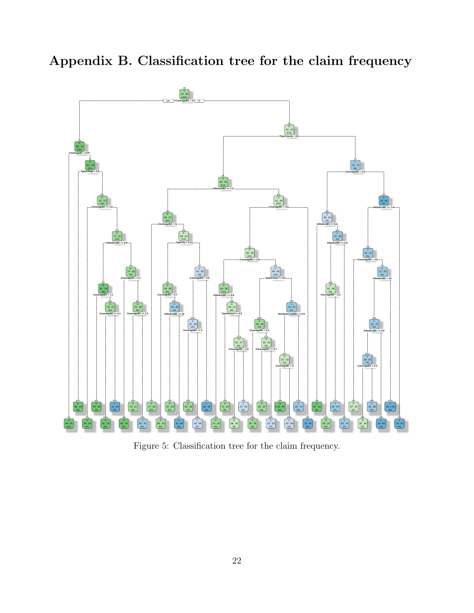Appendix B. Classification tree for the claim frequency

<span id="page-21-0"></span>

Figure 5: Classification tree for the claim frequency.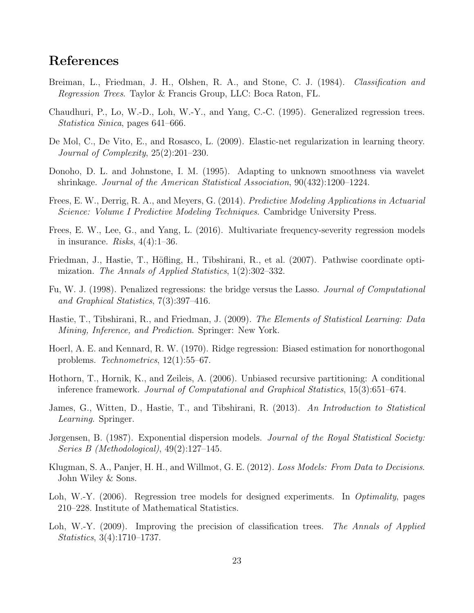## References

- <span id="page-22-3"></span>Breiman, L., Friedman, J. H., Olshen, R. A., and Stone, C. J. (1984). Classification and Regression Trees. Taylor & Francis Group, LLC: Boca Raton, FL.
- <span id="page-22-6"></span>Chaudhuri, P., Lo, W.-D., Loh, W.-Y., and Yang, C.-C. (1995). Generalized regression trees. Statistica Sinica, pages 641–666.
- <span id="page-22-14"></span>De Mol, C., De Vito, E., and Rosasco, L. (2009). Elastic-net regularization in learning theory. Journal of Complexity, 25(2):201–230.
- <span id="page-22-13"></span>Donoho, D. L. and Johnstone, I. M. (1995). Adapting to unknown smoothness via wavelet shrinkage. Journal of the American Statistical Association, 90(432):1200–1224.
- <span id="page-22-1"></span>Frees, E. W., Derrig, R. A., and Meyers, G. (2014). Predictive Modeling Applications in Actuarial Science: Volume I Predictive Modeling Techniques. Cambridge University Press.
- <span id="page-22-15"></span>Frees, E. W., Lee, G., and Yang, L. (2016). Multivariate frequency-severity regression models in insurance. Risks,  $4(4):1-36$ .
- <span id="page-22-12"></span>Friedman, J., Hastie, T., Höfling, H., Tibshirani, R., et al. (2007). Pathwise coordinate optimization. The Annals of Applied Statistics, 1(2):302–332.
- <span id="page-22-11"></span>Fu, W. J. (1998). Penalized regressions: the bridge versus the Lasso. Journal of Computational and Graphical Statistics, 7(3):397–416.
- <span id="page-22-9"></span>Hastie, T., Tibshirani, R., and Friedman, J. (2009). The Elements of Statistical Learning: Data Mining, Inference, and Prediction. Springer: New York.
- <span id="page-22-10"></span>Hoerl, A. E. and Kennard, R. W. (1970). Ridge regression: Biased estimation for nonorthogonal problems. Technometrics, 12(1):55–67.
- <span id="page-22-5"></span>Hothorn, T., Hornik, K., and Zeileis, A. (2006). Unbiased recursive partitioning: A conditional inference framework. Journal of Computational and Graphical Statistics, 15(3):651–674.
- <span id="page-22-8"></span>James, G., Witten, D., Hastie, T., and Tibshirani, R. (2013). An Introduction to Statistical Learning. Springer.
- <span id="page-22-2"></span>Jørgensen, B. (1987). Exponential dispersion models. Journal of the Royal Statistical Society: Series B (Methodological), 49(2):127–145.
- <span id="page-22-0"></span>Klugman, S. A., Panjer, H. H., and Willmot, G. E. (2012). Loss Models: From Data to Decisions. John Wiley & Sons.
- <span id="page-22-7"></span>Loh, W.-Y. (2006). Regression tree models for designed experiments. In *Optimality*, pages 210–228. Institute of Mathematical Statistics.
- <span id="page-22-4"></span>Loh, W.-Y. (2009). Improving the precision of classification trees. The Annals of Applied Statistics, 3(4):1710–1737.